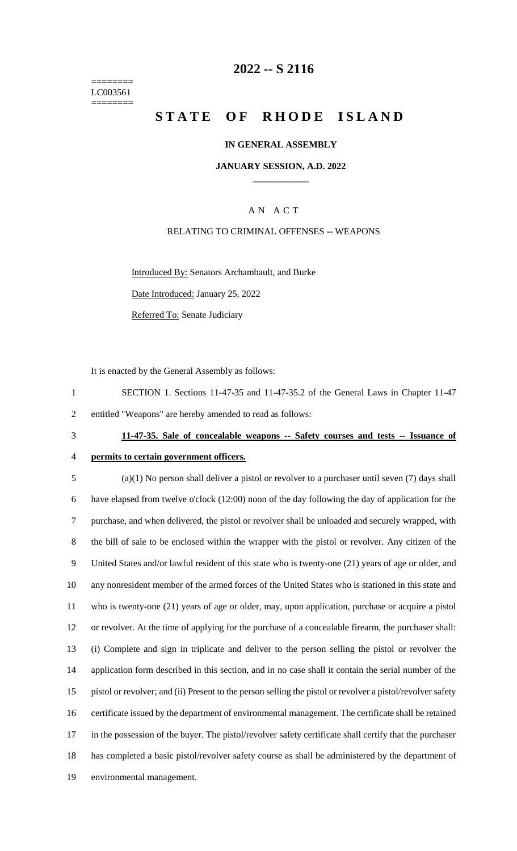======== LC003561 ========

### **2022 -- S 2116**

## **STATE OF RHODE ISLAND**

### **IN GENERAL ASSEMBLY**

### **JANUARY SESSION, A.D. 2022 \_\_\_\_\_\_\_\_\_\_\_\_**

### A N A C T

### RELATING TO CRIMINAL OFFENSES -- WEAPONS

Introduced By: Senators Archambault, and Burke

Date Introduced: January 25, 2022

Referred To: Senate Judiciary

It is enacted by the General Assembly as follows:

1 SECTION 1. Sections 11-47-35 and 11-47-35.2 of the General Laws in Chapter 11-47 2 entitled "Weapons" are hereby amended to read as follows:

# 3 **11-47-35. Sale of concealable weapons -- Safety courses and tests -- Issuance of**

# 4 **permits to certain government officers.**

 (a)(1) No person shall deliver a pistol or revolver to a purchaser until seven (7) days shall have elapsed from twelve o'clock (12:00) noon of the day following the day of application for the purchase, and when delivered, the pistol or revolver shall be unloaded and securely wrapped, with the bill of sale to be enclosed within the wrapper with the pistol or revolver. Any citizen of the United States and/or lawful resident of this state who is twenty-one (21) years of age or older, and any nonresident member of the armed forces of the United States who is stationed in this state and who is twenty-one (21) years of age or older, may, upon application, purchase or acquire a pistol or revolver. At the time of applying for the purchase of a concealable firearm, the purchaser shall: (i) Complete and sign in triplicate and deliver to the person selling the pistol or revolver the application form described in this section, and in no case shall it contain the serial number of the pistol or revolver; and (ii) Present to the person selling the pistol or revolver a pistol/revolver safety certificate issued by the department of environmental management. The certificate shall be retained 17 in the possession of the buyer. The pistol/revolver safety certificate shall certify that the purchaser has completed a basic pistol/revolver safety course as shall be administered by the department of environmental management.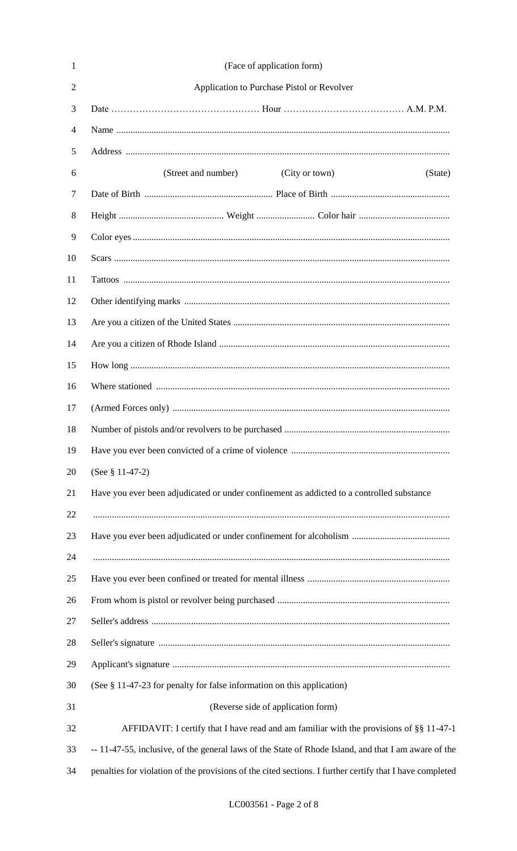| 1              | (Face of application form)                                                                           |
|----------------|------------------------------------------------------------------------------------------------------|
| $\overline{2}$ | Application to Purchase Pistol or Revolver                                                           |
| 3              |                                                                                                      |
| 4              |                                                                                                      |
| 5              |                                                                                                      |
| 6              | (City or town)<br>(Street and number)<br>(State)                                                     |
| 7              |                                                                                                      |
| 8              |                                                                                                      |
| 9              |                                                                                                      |
| 10             |                                                                                                      |
| 11             |                                                                                                      |
| 12             |                                                                                                      |
| 13             |                                                                                                      |
| 14             |                                                                                                      |
| 15             |                                                                                                      |
| 16             |                                                                                                      |
| 17             |                                                                                                      |
| 18             |                                                                                                      |
| 19             |                                                                                                      |
| 20             | (See $§$ 11-47-2)                                                                                    |
| 21             | Have you ever been adjudicated or under confinement as addicted to a controlled substance            |
| 22             |                                                                                                      |
| 23             |                                                                                                      |
| 24             |                                                                                                      |
| 25             |                                                                                                      |
| 26             |                                                                                                      |
| 27             |                                                                                                      |
| 28             |                                                                                                      |
| 29             |                                                                                                      |
| 30             | (See § 11-47-23 for penalty for false information on this application)                               |
| 31             | (Reverse side of application form)                                                                   |
| 32             | AFFIDAVIT: I certify that I have read and am familiar with the provisions of §§ 11-47-1              |
| 33             | -- 11-47-55, inclusive, of the general laws of the State of Rhode Island, and that I am aware of the |
|                |                                                                                                      |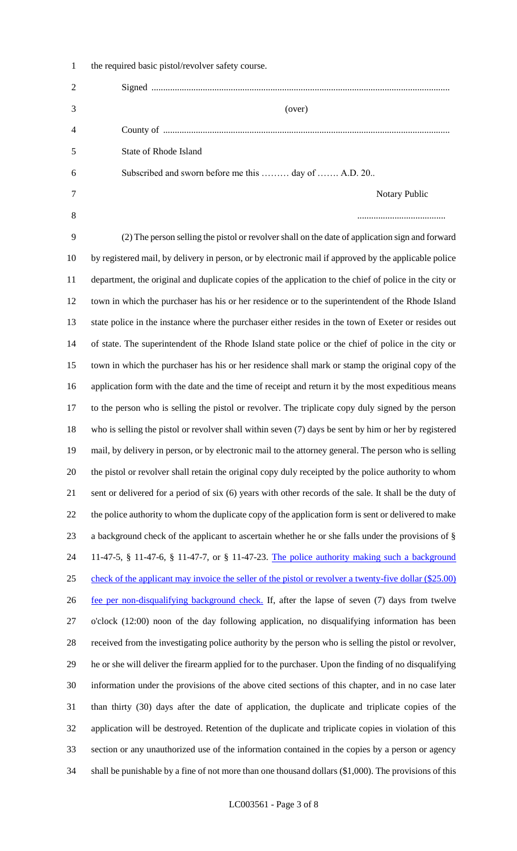| $\mathbf{I}$   | the required basic pistol/revolver safety course.                                                     |
|----------------|-------------------------------------------------------------------------------------------------------|
| $\overline{2}$ |                                                                                                       |
| 3              | (over)                                                                                                |
| $\overline{4}$ |                                                                                                       |
| 5              | State of Rhode Island                                                                                 |
| 6              | Subscribed and sworn before me this  day of  A.D. 20                                                  |
|                | Notary Public                                                                                         |
| 8              |                                                                                                       |
| 9              | (2) The person selling the pistol or revolver shall on the date of application sign and forward       |
| 10             | by registered mail, by delivery in person, or by electronic mail if approved by the applicable police |

 $1 - 1$  the restriction of  $\mathcal{L}_1$  and  $\mathcal{L}_2$  safety course.

 department, the original and duplicate copies of the application to the chief of police in the city or town in which the purchaser has his or her residence or to the superintendent of the Rhode Island state police in the instance where the purchaser either resides in the town of Exeter or resides out of state. The superintendent of the Rhode Island state police or the chief of police in the city or town in which the purchaser has his or her residence shall mark or stamp the original copy of the application form with the date and the time of receipt and return it by the most expeditious means to the person who is selling the pistol or revolver. The triplicate copy duly signed by the person who is selling the pistol or revolver shall within seven (7) days be sent by him or her by registered mail, by delivery in person, or by electronic mail to the attorney general. The person who is selling the pistol or revolver shall retain the original copy duly receipted by the police authority to whom sent or delivered for a period of six (6) years with other records of the sale. It shall be the duty of the police authority to whom the duplicate copy of the application form is sent or delivered to make a background check of the applicant to ascertain whether he or she falls under the provisions of § 11-47-5, § 11-47-6, § 11-47-7, or § 11-47-23. The police authority making such a background check of the applicant may invoice the seller of the pistol or revolver a twenty-five dollar (\$25.00) 26 fee per non-disqualifying background check. If, after the lapse of seven (7) days from twelve o'clock (12:00) noon of the day following application, no disqualifying information has been received from the investigating police authority by the person who is selling the pistol or revolver, he or she will deliver the firearm applied for to the purchaser. Upon the finding of no disqualifying information under the provisions of the above cited sections of this chapter, and in no case later than thirty (30) days after the date of application, the duplicate and triplicate copies of the application will be destroyed. Retention of the duplicate and triplicate copies in violation of this section or any unauthorized use of the information contained in the copies by a person or agency shall be punishable by a fine of not more than one thousand dollars (\$1,000). The provisions of this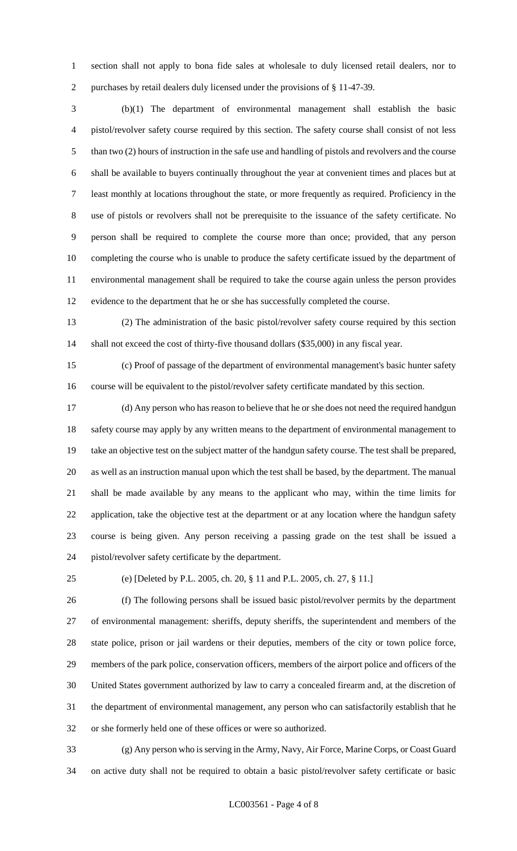section shall not apply to bona fide sales at wholesale to duly licensed retail dealers, nor to purchases by retail dealers duly licensed under the provisions of § 11-47-39.

 (b)(1) The department of environmental management shall establish the basic pistol/revolver safety course required by this section. The safety course shall consist of not less than two (2) hours of instruction in the safe use and handling of pistols and revolvers and the course shall be available to buyers continually throughout the year at convenient times and places but at least monthly at locations throughout the state, or more frequently as required. Proficiency in the use of pistols or revolvers shall not be prerequisite to the issuance of the safety certificate. No person shall be required to complete the course more than once; provided, that any person completing the course who is unable to produce the safety certificate issued by the department of environmental management shall be required to take the course again unless the person provides evidence to the department that he or she has successfully completed the course.

 (2) The administration of the basic pistol/revolver safety course required by this section shall not exceed the cost of thirty-five thousand dollars (\$35,000) in any fiscal year.

 (c) Proof of passage of the department of environmental management's basic hunter safety course will be equivalent to the pistol/revolver safety certificate mandated by this section.

 (d) Any person who has reason to believe that he or she does not need the required handgun 18 safety course may apply by any written means to the department of environmental management to take an objective test on the subject matter of the handgun safety course. The test shall be prepared, as well as an instruction manual upon which the test shall be based, by the department. The manual shall be made available by any means to the applicant who may, within the time limits for application, take the objective test at the department or at any location where the handgun safety course is being given. Any person receiving a passing grade on the test shall be issued a pistol/revolver safety certificate by the department.

(e) [Deleted by P.L. 2005, ch. 20, § 11 and P.L. 2005, ch. 27, § 11.]

 (f) The following persons shall be issued basic pistol/revolver permits by the department of environmental management: sheriffs, deputy sheriffs, the superintendent and members of the state police, prison or jail wardens or their deputies, members of the city or town police force, members of the park police, conservation officers, members of the airport police and officers of the United States government authorized by law to carry a concealed firearm and, at the discretion of the department of environmental management, any person who can satisfactorily establish that he or she formerly held one of these offices or were so authorized.

 (g) Any person who is serving in the Army, Navy, Air Force, Marine Corps, or Coast Guard on active duty shall not be required to obtain a basic pistol/revolver safety certificate or basic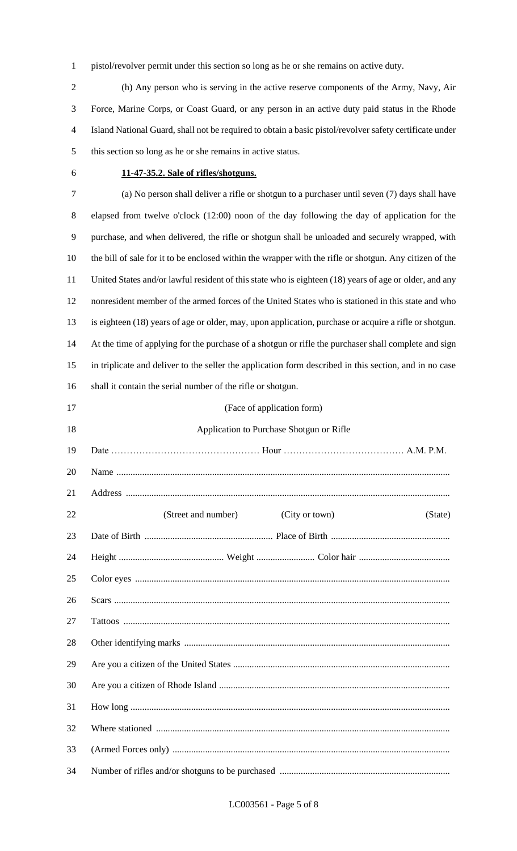pistol/revolver permit under this section so long as he or she remains on active duty.

 (h) Any person who is serving in the active reserve components of the Army, Navy, Air Force, Marine Corps, or Coast Guard, or any person in an active duty paid status in the Rhode Island National Guard, shall not be required to obtain a basic pistol/revolver safety certificate under this section so long as he or she remains in active status.

### **11-47-35.2. Sale of rifles/shotguns.**

 (a) No person shall deliver a rifle or shotgun to a purchaser until seven (7) days shall have elapsed from twelve o'clock (12:00) noon of the day following the day of application for the purchase, and when delivered, the rifle or shotgun shall be unloaded and securely wrapped, with the bill of sale for it to be enclosed within the wrapper with the rifle or shotgun. Any citizen of the United States and/or lawful resident of this state who is eighteen (18) years of age or older, and any nonresident member of the armed forces of the United States who is stationed in this state and who is eighteen (18) years of age or older, may, upon application, purchase or acquire a rifle or shotgun. At the time of applying for the purchase of a shotgun or rifle the purchaser shall complete and sign in triplicate and deliver to the seller the application form described in this section, and in no case shall it contain the serial number of the rifle or shotgun.

| 17 | (Face of application form)                       |
|----|--------------------------------------------------|
| 18 | Application to Purchase Shotgun or Rifle         |
| 19 |                                                  |
| 20 |                                                  |
| 21 |                                                  |
| 22 | (Street and number)<br>(City or town)<br>(State) |
| 23 |                                                  |
| 24 |                                                  |
| 25 |                                                  |
| 26 |                                                  |
| 27 |                                                  |
| 28 |                                                  |
| 29 |                                                  |
| 30 |                                                  |
| 31 |                                                  |
| 32 |                                                  |
| 33 |                                                  |
| 34 |                                                  |
|    |                                                  |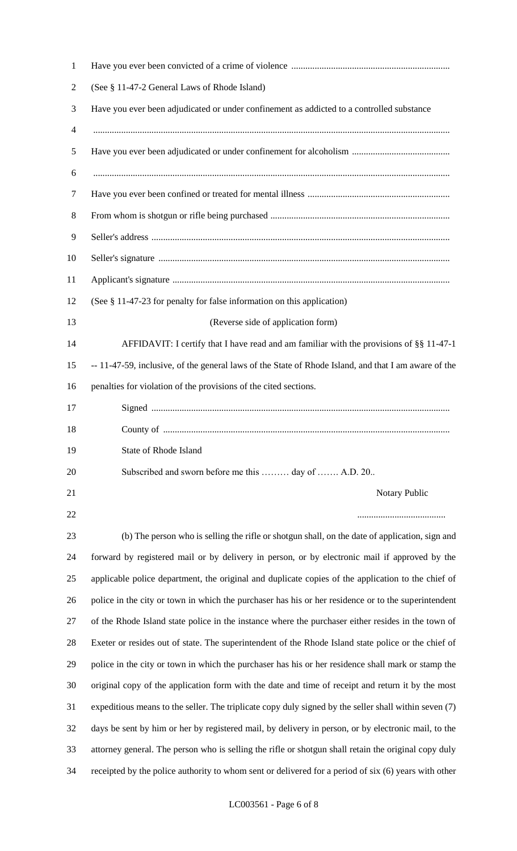| $\mathbf{1}$   |                                                                                                       |
|----------------|-------------------------------------------------------------------------------------------------------|
| $\overline{2}$ | (See § 11-47-2 General Laws of Rhode Island)                                                          |
| 3              | Have you ever been adjudicated or under confinement as addicted to a controlled substance             |
| 4              |                                                                                                       |
| 5              |                                                                                                       |
| 6              |                                                                                                       |
| 7              |                                                                                                       |
| 8              |                                                                                                       |
| 9              |                                                                                                       |
| 10             |                                                                                                       |
| 11             |                                                                                                       |
| 12             | (See § 11-47-23 for penalty for false information on this application)                                |
| 13             | (Reverse side of application form)                                                                    |
| 14             | AFFIDAVIT: I certify that I have read and am familiar with the provisions of §§ 11-47-1               |
| 15             | -- 11-47-59, inclusive, of the general laws of the State of Rhode Island, and that I am aware of the  |
| 16             | penalties for violation of the provisions of the cited sections.                                      |
| 17             |                                                                                                       |
| 18             |                                                                                                       |
| 19             | State of Rhode Island                                                                                 |
| 20             | Subscribed and sworn before me this  day of  A.D. 20                                                  |
| 21             | Notary Public                                                                                         |
| 22             |                                                                                                       |
| 23             | (b) The person who is selling the rifle or shotgun shall, on the date of application, sign and        |
| 24             | forward by registered mail or by delivery in person, or by electronic mail if approved by the         |
| 25             | applicable police department, the original and duplicate copies of the application to the chief of    |
| 26             | police in the city or town in which the purchaser has his or her residence or to the superintendent   |
| 27             | of the Rhode Island state police in the instance where the purchaser either resides in the town of    |
| 28             | Exeter or resides out of state. The superintendent of the Rhode Island state police or the chief of   |
| 29             | police in the city or town in which the purchaser has his or her residence shall mark or stamp the    |
| 30             | original copy of the application form with the date and time of receipt and return it by the most     |
| 31             | expeditious means to the seller. The triplicate copy duly signed by the seller shall within seven (7) |
| 32             | days be sent by him or her by registered mail, by delivery in person, or by electronic mail, to the   |
| 33             | attorney general. The person who is selling the rifle or shotgun shall retain the original copy duly  |
| 34             | receipted by the police authority to whom sent or delivered for a period of six (6) years with other  |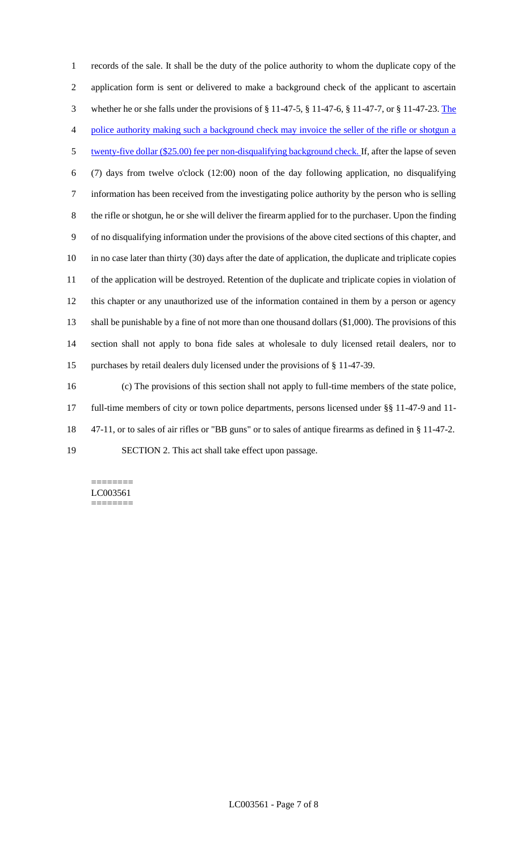records of the sale. It shall be the duty of the police authority to whom the duplicate copy of the application form is sent or delivered to make a background check of the applicant to ascertain whether he or she falls under the provisions of § 11-47-5, § 11-47-6, § 11-47-7, or § 11-47-23. The police authority making such a background check may invoice the seller of the rifle or shotgun a 5 twenty-five dollar (\$25.00) fee per non-disqualifying background check. If, after the lapse of seven (7) days from twelve o'clock (12:00) noon of the day following application, no disqualifying information has been received from the investigating police authority by the person who is selling the rifle or shotgun, he or she will deliver the firearm applied for to the purchaser. Upon the finding of no disqualifying information under the provisions of the above cited sections of this chapter, and in no case later than thirty (30) days after the date of application, the duplicate and triplicate copies of the application will be destroyed. Retention of the duplicate and triplicate copies in violation of this chapter or any unauthorized use of the information contained in them by a person or agency shall be punishable by a fine of not more than one thousand dollars (\$1,000). The provisions of this section shall not apply to bona fide sales at wholesale to duly licensed retail dealers, nor to purchases by retail dealers duly licensed under the provisions of § 11-47-39.

 (c) The provisions of this section shall not apply to full-time members of the state police, full-time members of city or town police departments, persons licensed under §§ 11-47-9 and 11- 47-11, or to sales of air rifles or "BB guns" or to sales of antique firearms as defined in § 11-47-2.

SECTION 2. This act shall take effect upon passage.

======== LC003561 ========